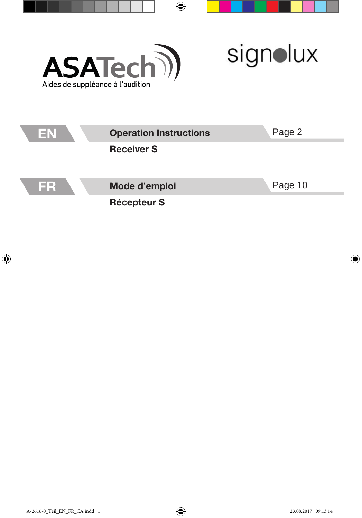

 $\overline{\phantom{0}}$ 

 $\overline{\phantom{0}}$ 

signolux

| EN | <b>Operation Instructions</b><br><b>Receiver S</b> | Page 2  |
|----|----------------------------------------------------|---------|
|    |                                                    |         |
| ER | Mode d'emploi                                      | Page 10 |
|    | <b>Récepteur S</b>                                 |         |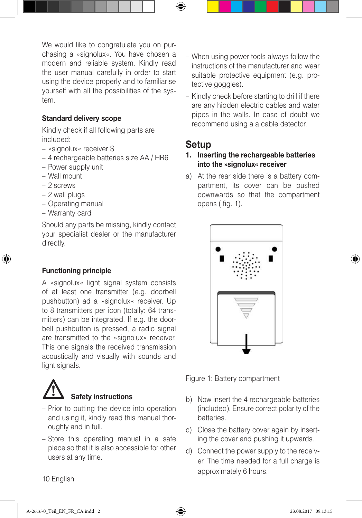We would like to congratulate you on purchasing a »signolux«. You have chosen a modern and reliable system. Kindly read the user manual carefully in order to start using the device properly and to familiarise yourself with all the possibilities of the system.

### Standard delivery scope

Kindly check if all following parts are included:

- »signolux« receiver S
- 4 rechargeable batteries size AA / HR6
- Power supply unit
- Wall mount
- 2 screws
- 2 wall plugs
- Operating manual
- Warranty card

Should any parts be missing, kindly contact your specialist dealer or the manufacturer directly.

### Functioning principle

A »signolux« light signal system consists of at least one transmitter (e.g. doorbell pushbutton) ad a »signolux« receiver. Up to 8 transmitters per icon (totally: 64 transmitters) can be integrated. If e.g. the doorbell pushbutton is pressed, a radio signal are transmitted to the »signolux« receiver. This one signals the received transmission acoustically and visually with sounds and light signals.



- Prior to putting the device into operation and using it, kindly read this manual thoroughly and in full.
- Store this operating manual in a safe place so that it is also accessible for other users at any time.
- When using power tools always follow the instructions of the manufacturer and wear suitable protective equipment (e.g. protective goggles).
- Kindly check before starting to drill if there are any hidden electric cables and water pipes in the walls. In case of doubt we recommend using a a cable detector.

# Setup

### 1. Inserting the rechargeable batteries into the »signolux« receiver

a) At the rear side there is a battery compartment, its cover can be pushed downwards so that the compartment opens ( fig. 1).



Figure 1: Battery compartment

- b) Now insert the 4 rechargeable batteries (included). Ensure correct polarity of the batteries.
- c) Close the battery cover again by inserting the cover and pushing it upwards.
- d) Connect the power supply to the receiver. The time needed for a full charge is approximately 6 hours.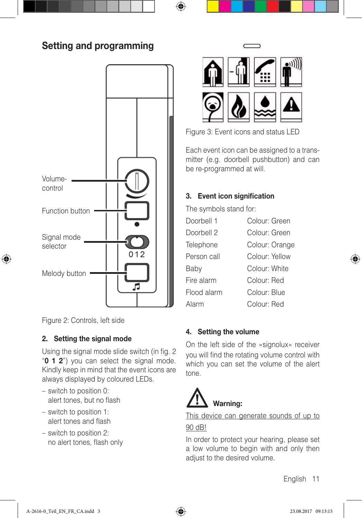# Setting and programming



Figure 2: Controls, left side

## 2. Setting the signal mode

Using the signal mode slide switch (in fig. 2 "**0 1 2**") you can select the signal mode. Kindly keep in mind that the event icons are always displayed by coloured LEDs.

- switch to position 0: alert tones, but no flash
- switch to position 1: alert tones and flash
- switch to position 2: no alert tones, flash only



Figure 3: Event icons and status LED

Each event icon can be assigned to a transmitter (e.g. doorbell pushbutton) and can be re-programmed at will.

# 3. Event icon signification

The symbols stand for:

| Doorbell 1  | Colour: Green  |
|-------------|----------------|
| Doorbell 2  | Colour: Green  |
| Telephone   | Colour: Orange |
| Person call | Colour: Yellow |
| Baby        | Colour: White  |
| Fire alarm  | Colour: Red    |
| Flood alarm | Colour: Blue   |
| Alarm       | Colour: Red    |

### 4. Setting the volume

On the left side of the »signolux« receiver you will find the rotating volume control with which you can set the volume of the alert tone.



This device can generate sounds of up to

### 90 dB!

In order to protect your hearing, please set a low volume to begin with and only then adjust to the desired volume.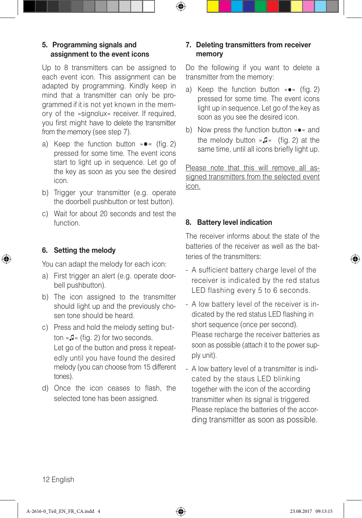### 5. Programming signals and assignment to the event icons

Up to 8 transmitters can be assigned to each event icon. This assignment can be adapted by programming. Kindly keep in mind that a transmitter can only be programmed if it is not yet known in the memory of the »signolux« receiver. If required, you first might have to delete the transmitter from the memory (see step 7).

- a) Keep the function button »●« (fig. 2) pressed for some time. The event icons start to light up in sequence. Let go of the key as soon as you see the desired icon.
- b) Trigger your transmitter (e.g. operate the doorbell pushbutton or test button).
- c) Wait for about 20 seconds and test the function.

## 6. Setting the melody

You can adapt the melody for each icon:

- a) First trigger an alert (e.g. operate doorbell pushbutton).
- b) The icon assigned to the transmitter should light up and the previously chosen tone should be heard.
- c) Press and hold the melody setting button »♫« (fig. 2) for two seconds. Let go of the button and press it repeatedly until you have found the desired melody (you can choose from 15 different tones).
- d) Once the icon ceases to flash, the selected tone has been assigned.

# 7. Deleting transmitters from receiver memory

Do the following if you want to delete a transmitter from the memory:

- a) Keep the function button »●« (fig. 2) pressed for some time. The event icons light up in sequence. Let go of the key as soon as you see the desired icon.
- b) Now press the function button »●« and the melody button »♫« (fig. 2) at the same time, until all icons briefly light up.

Please note that this will remove all assigned transmitters from the selected event icon.

# 8. Battery level indication

The receiver informs about the state of the batteries of the receiver as well as the batteries of the transmitters:

- A sufficient battery charge level of the receiver is indicated by the red status LED flashing every 5 to 6 seconds.
- A low battery level of the receiver is indicated by the red status LED flashing in short sequence (once per second). Please recharge the receiver batteries as soon as possible (attach it to the power supply unit).
- A low battery level of a transmitter is indicated by the staus LED blinking together with the icon of the according transmitter when its signal is triggered. Please replace the batteries of the according transmitter as soon as possible.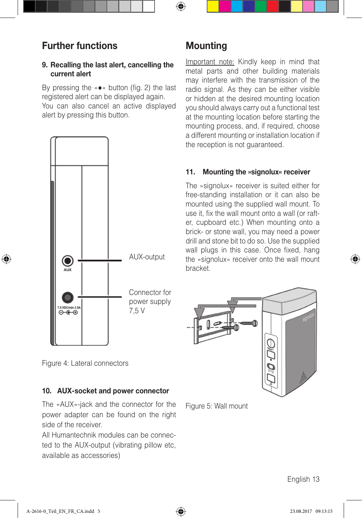# Further functions

## 9. Recalling the last alert, cancelling the current alert

By pressing the »●« button (fig. 2) the last registered alert can be displayed again. You can also cancel an active displayed alert by pressing this button.



**Mounting** 

Important note: Kindly keep in mind that metal parts and other building materials may interfere with the transmission of the radio signal. As they can be either visible or hidden at the desired mounting location you should always carry out a functional test at the mounting location before starting the mounting process, and, if required, choose a different mounting or installation location if the reception is not quaranteed.

## 11. Mounting the »signolux« receiver

The »signolux« receiver is suited either for free-standing installation or it can also be mounted using the supplied wall mount. To use it, fix the wall mount onto a wall (or rafter, cupboard etc.) When mounting onto a brick- or stone wall, you may need a power drill and stone bit to do so. Use the supplied wall plugs in this case. Once fixed, hang the »signolux« receiver onto the wall mount bracket.



Figure 4: Lateral connectors

## 10. AUX-socket and power connector

The »AUX«-jack and the connector for the power adapter can be found on the right side of the receiver.

All Humantechnik modules can be connected to the AUX-output (vibrating pillow etc, available as accessories)

Figure 5: Wall mount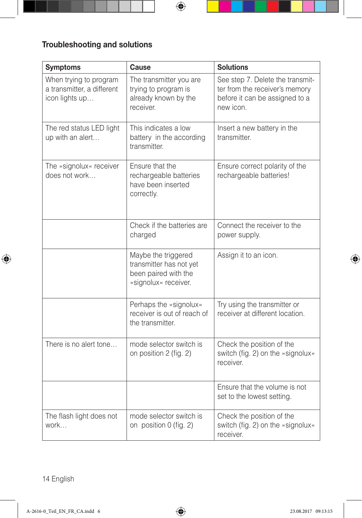# Troubleshooting and solutions

| <b>Symptoms</b>                                                        | Cause                                                                                          | <b>Solutions</b>                                                                                                  |
|------------------------------------------------------------------------|------------------------------------------------------------------------------------------------|-------------------------------------------------------------------------------------------------------------------|
| When trying to program<br>a transmitter, a different<br>icon lights up | The transmitter you are<br>trying to program is<br>already known by the<br><i>receiver</i>     | See step 7. Delete the transmit-<br>ter from the receiver's memory<br>before it can be assigned to a<br>new icon. |
| The red status LED light<br>up with an alert                           | This indicates a low<br>battery in the according<br>transmitter.                               | Insert a new battery in the<br>transmitter.                                                                       |
| The »signolux« receiver<br>does not work                               | Ensure that the<br>rechargeable batteries<br>have been inserted<br>correctly.                  | Ensure correct polarity of the<br>rechargeable batteries!                                                         |
|                                                                        | Check if the batteries are<br>charged                                                          | Connect the receiver to the<br>power supply.                                                                      |
|                                                                        | Maybe the triggered<br>transmitter has not yet<br>been paired with the<br>»signolux« receiver. | Assign it to an icon.                                                                                             |
|                                                                        | Perhaps the »signolux«<br>receiver is out of reach of<br>the transmitter.                      | Try using the transmitter or<br>receiver at different location.                                                   |
| There is no alert tone                                                 | mode selector switch is<br>on position 2 (fig. 2)                                              | Check the position of the<br>switch (fig. 2) on the »signolux«<br>receiver.                                       |
|                                                                        |                                                                                                | Ensure that the volume is not<br>set to the lowest setting.                                                       |
| The flash light does not<br>work                                       | mode selector switch is<br>on position 0 (fig. 2)                                              | Check the position of the<br>switch (fig. 2) on the »signolux«<br>receiver.                                       |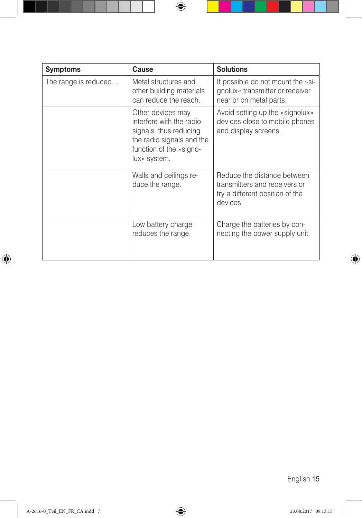| <b>Symptoms</b>      | Cause                                                                                                                                           | <b>Solutions</b>                                                                                            |
|----------------------|-------------------------------------------------------------------------------------------------------------------------------------------------|-------------------------------------------------------------------------------------------------------------|
| The range is reduced | Metal structures and<br>other building materials<br>can reduce the reach.                                                                       | If possible do not mount the »si-<br>gnolux« transmitter or receiver<br>near or on metal parts.             |
|                      | Other devices may<br>interfere with the radio<br>signals, thus reducing<br>the radio signals and the<br>function of the »signo-<br>lux« system. | Avoid setting up the »signolux«<br>devices close to mobile phones<br>and display screens.                   |
|                      | Walls and ceilings re-<br>duce the range.                                                                                                       | Reduce the distance between<br>transmitters and receivers or<br>try a different position of the<br>devices. |
|                      | Low battery charge<br>reduces the range.                                                                                                        | Charge the batteries by con-<br>necting the power supply unit.                                              |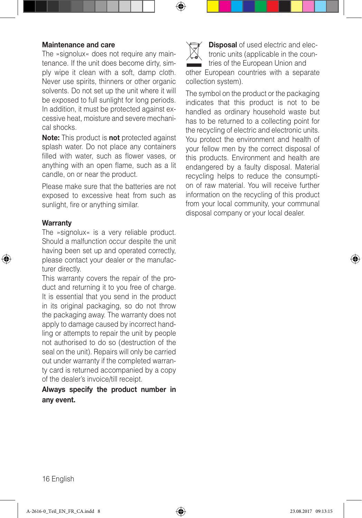#### Maintenance and care

The »signolux« does not require any maintenance. If the unit does become dirty, simply wipe it clean with a soft, damp cloth. Never use spirits, thinners or other organic solvents. Do not set up the unit where it will be exposed to full sunlight for long periods. In addition, it must be protected against excessive heat, moisture and severe mechanical shocks.

Note: This product is not protected against splash water. Do not place any containers filled with water, such as flower vases, or anything with an open flame, such as a lit candle, on or near the product.

Please make sure that the batteries are not exposed to excessive heat from such as sunlight, fire or anything similar.

### **Warranty**

The »signolux« is a very reliable product. Should a malfunction occur despite the unit having been set up and operated correctly, please contact your dealer or the manufacturer directly.

This warranty covers the repair of the product and returning it to you free of charge. It is essential that you send in the product in its original packaging, so do not throw the packaging away. The warranty does not apply to damage caused by incorrect handling or attempts to repair the unit by people not authorised to do so (destruction of the seal on the unit). Repairs will only be carried out under warranty if the completed warranty card is returned accompanied by a copy of the dealer's invoice/till receipt.

Always specify the product number in any event.



The symbol on the product or the packaging indicates that this product is not to be handled as ordinary household waste but has to be returned to a collecting point for the recycling of electric and electronic units. You protect the environment and health of your fellow men by the correct disposal of this products. Environment and health are endangered by a faulty disposal. Material recycling helps to reduce the consumption of raw material. You will receive further information on the recycling of this product from your local community, your communal disposal company or your local dealer.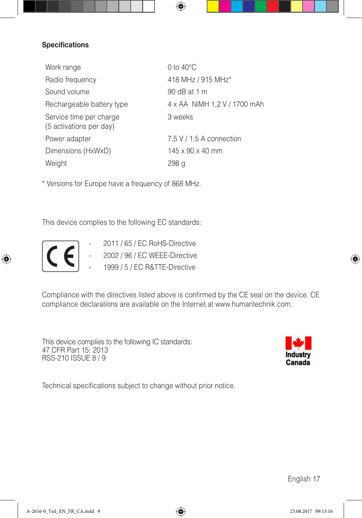### **Specifications**

| Work range                                         | 0 to $40^{\circ}$ C          |
|----------------------------------------------------|------------------------------|
| Radio frequency                                    | 418 MHz / 915 MHz*           |
| Sound volume                                       | 90 dB at 1 m                 |
| Rechargeable battery type                          | 4 x AA NiMH 1,2 V / 1700 mAh |
| Service time per charge<br>(5 activations per day) | 3 weeks                      |
| Power adapter                                      | 7,5 V / 1,5 A connection     |
| Dimensions (HxWxD)                                 | $145 \times 90 \times 40$ mm |
| Weight                                             | 298 a                        |

\* Versions for Europe have a frequency of 868 MHz.

This device complies to the following EC standards:



- $\sim$  2011 / 65 / EC RoHS-Directive
- 2002 / 96 / EC WEEE-Directive
- 1999 / 5 / EC R&TTE-Directive

Compliance with the directives listed above is confirmed by the CE seal on the device. CE compliance declarations are available on the Internet at www.humantechnik.com.

This device complies to the following IC standards: 47 CFR Part 15; 2013 RSS-210 ISSUE 8 / 9



Technical specifications subject to change without prior notice.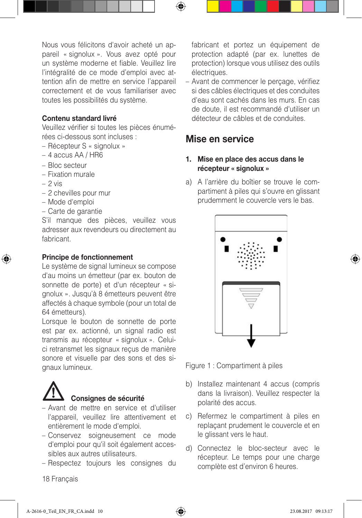Nous vous félicitons d'avoir acheté un appareil « signolux ». Vous avez opté pour un système moderne et fiable. Veuillez lire l'intégralité de ce mode d'emploi avec attention afin de mettre en service l'appareil correctement et de vous familiariser avec toutes les possibilités du système.

#### Contenu standard livré

Veuillez vérifier si toutes les pièces énumérées ci-dessous sont incluses :

- Récepteur S « signolux »
- 4 accus AA / HR6
- Bloc secteur
- Fixation murale
- $-2$  vis
- 2 chevilles pour mur
- Mode d'emploi
- Carte de garantie

S'il manque des pièces, veuillez vous adresser aux revendeurs ou directement au fabricant.

### Principe de fonctionnement

Le système de signal lumineux se compose d'au moins un émetteur (par ex. bouton de sonnette de porte) et d'un récepteur « signolux ». Jusqu'à 8 émetteurs peuvent être affectés à chaque symbole (pour un total de 64 émetteurs).

Lorsque le bouton de sonnette de porte est par ex. actionné, un signal radio est transmis au récepteur « signolux ». Celuici retransmet les signaux reçus de manière sonore et visuelle par des sons et des signaux lumineux.



### Consignes de sécurité

- Avant de mettre en service et d'utiliser l'appareil, veuillez lire attentivement et entièrement le mode d'emploi.
- Conservez soigneusement ce mode d'emploi pour qu'il soit également accessibles aux autres utilisateurs.
- Respectez toujours les consignes du

fabricant et portez un équipement de protection adapté (par ex. lunettes de protection) lorsque vous utilisez des outils électriques.

– Avant de commencer le perçage, vérifiez si des câbles électriques et des conduites d'eau sont cachés dans les murs. En cas de doute, il est recommandé d'utiliser un détecteur de câbles et de conduites.

# Mise en service

### 1. Mise en place des accus dans le récepteur « signolux »

a) A l'arrière du boîtier se trouve le compartiment à piles qui s'ouvre en glissant prudemment le couvercle vers le bas.



Figure 1 : Compartiment à piles

- b) Installez maintenant 4 accus (compris dans la livraison). Veuillez respecter la polarité des accus.
- c) Refermez le compartiment à piles en replaçant prudement le couvercle et en le glissant vers le haut.
- d) Connectez le bloc-secteur avec le récepteur. Le temps pour une charge complète est d'environ 6 heures.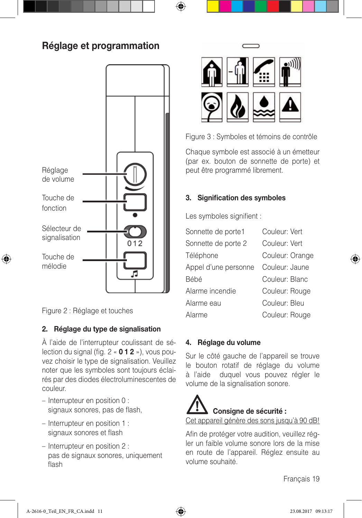# Réglage et programmation



Figure 2 : Réglage et touches

# 2. Réglage du type de signalisation

À l'aide de l'interrupteur coulissant de sélection du signal (fig.  $2 \times 012 \times$ ), vous pouvez choisir le type de signalisation. Veuillez noter que les symboles sont toujours éclairés par des diodes électroluminescentes de couleur.

- Interrupteur en position 0 : signaux sonores, pas de flash,
- Interrupteur en position 1 : signaux sonores et flash
- Interrupteur en position 2 : pas de signaux sonores, uniquement flash



Figure 3 : Symboles et témoins de contrôle

Chaque symbole est associé à un émetteur (par ex. bouton de sonnette de porte) et peut être programmé librement.

# 3. Signification des symboles

Les symboles signifient :

| Sonnette de porte1   | Couleur: Vert   |
|----------------------|-----------------|
| Sonnette de porte 2  | Couleur: Vert   |
| Téléphone            | Couleur: Orange |
| Appel d'une personne | Couleur: Jaune  |
| Bébé                 | Couleur: Blanc  |
| Alarme incendie      | Couleur: Rouge  |
| Alarme eau           | Couleur: Bleu   |
| Alarme               | Couleur: Rouge  |

## 4. Réglage du volume

Sur le côté gauche de l'appareil se trouve le bouton rotatif de réglage du volume à l'aide duquel vous pouvez régler le volume de la signalisation sonore.

# Consigne de sécurité : Cet appareil génère des sons jusqu'à 90 dB!

Afin de protéger votre audition, veuillez régler un faible volume sonore lors de la mise en route de l'appareil. Réglez ensuite au volume souhaité.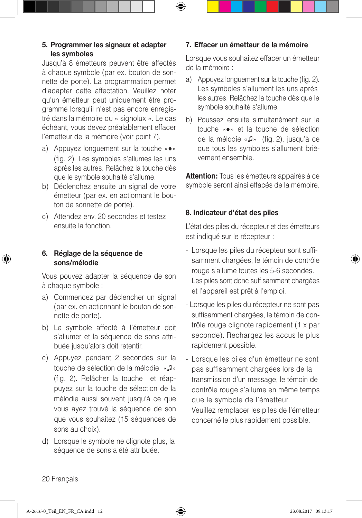### 5. Programmer les signaux et adapter les symboles

Jusqu'à 8 émetteurs peuvent être affectés à chaque symbole (par ex. bouton de sonnette de porte). La programmation permet d'adapter cette affectation. Veuillez noter qu'un émetteur peut uniquement être programmé lorsqu'il n'est pas encore enregistré dans la mémoire du « signolux ». Le cas échéant, vous devez préalablement effacer l'émetteur de la mémoire (voir point 7).

- a) Appuyez longuement sur la touche »●« (fig. 2). Les symboles s'allumes les uns après les autres. Relâchez la touche dès que le symbole souhaité s'allume.
- b) Déclenchez ensuite un signal de votre émetteur (par ex. en actionnant le bouton de sonnette de porte).
- c) Attendez env. 20 secondes et testez ensuite la fonction.

### 6. Réglage de la séquence de sons/mélodie

Vous pouvez adapter la séquence de son à chaque symbole :

- a) Commencez par déclencher un signal (par ex. en actionnant le bouton de sonnette de porte).
- b) Le symbole affecté à l'émetteur doit s'allumer et la séquence de sons attribuée jusqu'alors doit retentir.
- c) Appuyez pendant 2 secondes sur la touche de sélection de la mélodie «♫» (fig. 2). Relâcher la touche et réappuyez sur la touche de sélection de la mélodie aussi souvent jusqu'à ce que vous ayez trouvé la séquence de son que vous souhaitez (15 séquences de sons au choix).
- d) Lorsque le symbole ne clignote plus, la séquence de sons a été attribuée.

# 7. Effacer un émetteur de la mémoire

Lorsque vous souhaitez effacer un émetteur de la mémoire :

- a) Appuyez longuement sur la touche (fig. 2). Les symboles s'allument les uns après les autres. Relâchez la touche dès que le symbole souhaité s'allume.
- b) Poussez ensuite simultanément sur la touche «●» et la touche de sélection de la mélodie «♫» (fig. 2), jusqu'à ce que tous les symboles s'allument brièvement ensemble.

**Attention:** Tous les émetteurs appairés à ce symbole seront ainsi effacés de la mémoire.

### 8. Indicateur d'état des piles

L'état des piles du récepteur et des émetteurs est indiqué sur le récepteur :

- Lorsque les piles du récepteur sont suffisamment chargées, le témoin de contrôle rouge s'allume toutes les 5-6 secondes. Les piles sont donc suffisamment chargées et l'appareil est prêt à l'emploi.
- Lorsque les piles du récepteur ne sont pas suffisamment chargées, le témoin de contrôle rouge clignote rapidement (1 x par seconde). Rechargez les accus le plus rapidement possible.
- Lorsque les piles d'un émetteur ne sont pas suffisamment chargées lors de la transmission d'un message, le témoin de contrôle rouge s'allume en même temps que le symbole de l'émetteur. Veuillez remplacer les piles de l'émetteur concerné le plus rapidement possible.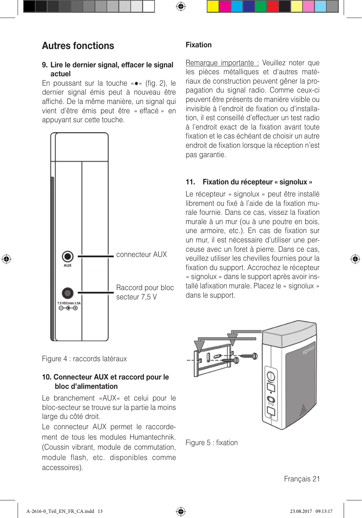# Autres fonctions

### 9. Lire le dernier signal, effacer le signal actuel

En poussant sur la touche «●» (fig. 2), le dernier signal émis peut à nouveau être affiché. De la même manière, un signal qui vient d'être émis peut être « effacé » en appuyant sur cette touche.



### Fixation

Remarque importante : Veuillez noter que les pièces métalliques et d'autres matériaux de construction peuvent gêner la propagation du signal radio. Comme ceux-ci peuvent être présents de manière visible ou invisible à l'endroit de fixation ou d'installation, il est conseillé d'effectuer un test radio à l'endroit exact de la fixation avant toute fixation et le cas échéant de choisir un autre endroit de fixation lorsque la réception n'est pas garantie.

### 11. Fixation du récepteur « signolux »

Le récepteur « signolux » peut être installé librement ou fixé à l'aide de la fixation murale fournie. Dans ce cas, vissez la fixation murale à un mur (ou à une poutre en bois, une armoire, etc.). En cas de fixation sur un mur, il est nécessaire d'utiliser une perceuse avec un foret à pierre. Dans ce cas, veuillez utiliser les chevilles fournies pour la fixation du support. Accrochez le récepteur « signolux » dans le support après avoir installé lafixation murale. Placez le « signolux » dans le support.



Figure 5 : fixation

Figure 4 : raccords latéraux

### 10. Connecteur AUX et raccord pour le bloc d'alimentation

Le branchement »AUX« et celui pour le bloc-secteur se trouve sur la partie la moins large du côté droit.

Le connecteur AUX permet le raccordement de tous les modules Humantechnik. (Coussin vibrant, module de commutation, module flash, etc. disponibles comme accessoires).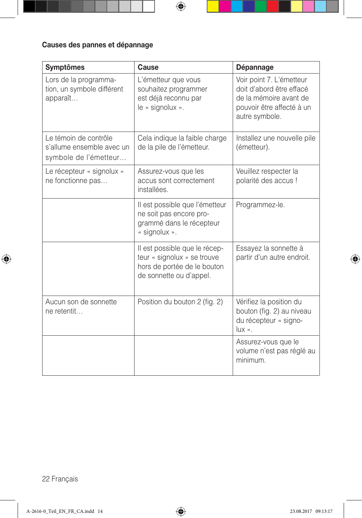# Causes des pannes et dépannage

| <b>Symptômes</b>                                                            | Cause                                                                                                                  | Dépannage                                                                                                                     |
|-----------------------------------------------------------------------------|------------------------------------------------------------------------------------------------------------------------|-------------------------------------------------------------------------------------------------------------------------------|
| Lors de la programma-<br>tion, un symbole différent<br>apparaît             | L'émetteur que vous<br>souhaitez programmer<br>est déjà reconnu par<br>le « signolux ».                                | Voir point 7. L'émetteur<br>doit d'abord être effacé<br>de la mémoire avant de<br>pouvoir être affecté à un<br>autre symbole. |
| Le témoin de contrôle<br>s'allume ensemble avec un<br>symbole de l'émetteur | Cela indique la faible charge<br>de la pile de l'émetteur.                                                             | Installez une nouvelle pile<br>(émetteur).                                                                                    |
| Le récepteur « signolux »<br>ne fonctionne pas                              | Assurez-vous que les<br>accus sont correctement<br>installées.                                                         | Veuillez respecter la<br>polarité des accus!                                                                                  |
|                                                                             | Il est possible que l'émetteur<br>ne soit pas encore pro-<br>grammé dans le récepteur<br>« signolux ».                 | Programmez-le.                                                                                                                |
|                                                                             | Il est possible que le récep-<br>teur « signolux » se trouve<br>hors de portée de le bouton<br>de sonnette ou d'appel. | Essayez la sonnette à<br>partir d'un autre endroit.                                                                           |
| Aucun son de sonnette<br>ne retentit                                        | Position du bouton 2 (fig. 2)                                                                                          | Vérifiez la position du<br>bouton (fig. 2) au niveau<br>du récepteur « signo-<br>$lux \rightarrow$ .                          |
|                                                                             |                                                                                                                        | Assurez-vous que le<br>volume n'est pas réglé au<br>minimum.                                                                  |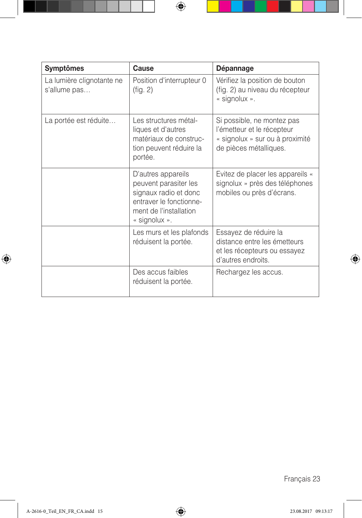| <b>Symptômes</b>                          | Cause                                                                                                                                      | Dépannage                                                                                                             |
|-------------------------------------------|--------------------------------------------------------------------------------------------------------------------------------------------|-----------------------------------------------------------------------------------------------------------------------|
| La lumière clignotante ne<br>s'allume pas | Position d'interrupteur 0<br>(fig. 2)                                                                                                      | Vérifiez la position de bouton<br>(fig. 2) au niveau du récepteur<br>« signolux ».                                    |
| La portée est réduite                     | Les structures métal-<br>liques et d'autres<br>matériaux de construc-<br>tion peuvent réduire la<br>portée.                                | Si possible, ne montez pas<br>l'émetteur et le récepteur<br>« signolux » sur ou à proximité<br>de pièces métalliques. |
|                                           | D'autres appareils<br>peuvent parasiter les<br>signaux radio et donc<br>entraver le fonctionne-<br>ment de l'installation<br>« signolux ». | Evitez de placer les appareils «<br>signolux » près des téléphones<br>mobiles ou près d'écrans.                       |
|                                           | Les murs et les plafonds<br>réduisent la portée.                                                                                           | Essayez de réduire la<br>distance entre les émetteurs<br>et les récepteurs ou essayez<br>d'autres endroits.           |
|                                           | Des accus faibles<br>réduisent la portée.                                                                                                  | Rechargez les accus.                                                                                                  |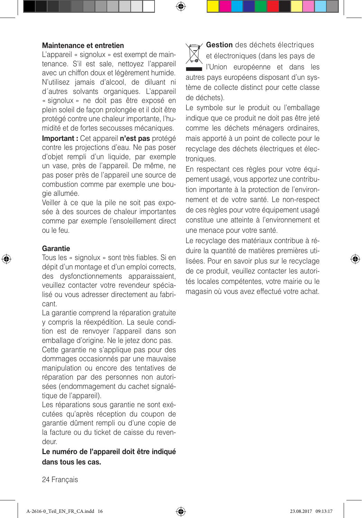#### Maintenance et entretien

L'appareil « signolux » est exempt de maintenance. S'il est sale, nettoyez l'appareil avec un chiffon doux et légèrement humide. N'utilisez jamais d'alcool, de diluant ni d´autres solvants organiques. L'appareil « signolux » ne doit pas être exposé en plein soleil de façon prolongée et il doit être protégé contre une chaleur importante, l'humidité et de fortes secousses mécaniques.

Important : Cet appareil n'est pas protégé contre les projections d'eau. Ne pas poser d'objet rempli d'un liquide, par exemple un vase, près de l'appareil. De même, ne pas poser près de l'appareil une source de combustion comme par exemple une bougie allumée.

Veiller à ce que la pile ne soit pas exposée à des sources de chaleur importantes comme par exemple l'ensoleillement direct ou le feu.

#### Garantie

Tous les « signolux » sont très fiables. Si en dépit d'un montage et d'un emploi corrects, des dysfonctionnements apparaissaient, veuillez contacter votre revendeur spécialisé ou vous adresser directement au fabricant.

La garantie comprend la réparation gratuite y compris la réexpédition. La seule condition est de renvoyer l'appareil dans son emballage d'origine. Ne le jetez donc pas.

Cette garantie ne s'applique pas pour des dommages occasionnés par une mauvaise manipulation ou encore des tentatives de réparation par des personnes non autorisées (endommagement du cachet signalétique de l'appareil).

Les réparations sous garantie ne sont exécutées qu'après réception du coupon de garantie dûment rempli ou d'une copie de la facture ou du ticket de caisse du revendeur.

### Le numéro de l'appareil doit être indiqué dans tous les cas.

Gestion des déchets électriques et électroniques (dans les pays de l'Union européenne et dans les autres pays européens disposant d'un système de collecte distinct pour cette classe de déchets).

Le symbole sur le produit ou l'emballage indique que ce produit ne doit pas être jeté comme les déchets ménagers ordinaires, mais apporté à un point de collecte pour le recyclage des déchets électriques et électroniques.

En respectant ces règles pour votre équipement usagé, vous apportez une contribution importante à la protection de l'environnement et de votre santé. Le non-respect de ces règles pour votre équipement usagé constitue une atteinte à l'environnement et une menace pour votre santé.

Le recyclage des matériaux contribue à réduire la quantité de matières premières utilisées. Pour en savoir plus sur le recyclage de ce produit, veuillez contacter les autorités locales compétentes, votre mairie ou le magasin où vous avez effectué votre achat.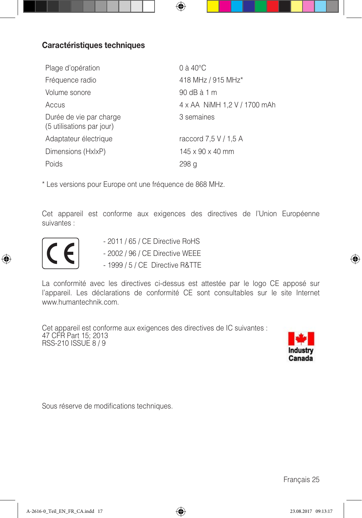# Caractéristiques techniques

| Plage d'opération                                    | $0$ à $40^{\circ}$ C         |
|------------------------------------------------------|------------------------------|
| Fréquence radio                                      | 418 MHz / 915 MHz*           |
| Volume sonore                                        | 90 dB à 1 m                  |
| Accus                                                | 4 x AA NiMH 1.2 V / 1700 mAh |
| Durée de vie par charge<br>(5 utilisations par jour) | 3 semaines                   |
| Adaptateur électrique                                | raccord 7,5 V / 1,5 A        |
| Dimensions (HxIxP)                                   | $145 \times 90 \times 40$ mm |
| Poids                                                | 298 a                        |

\* Les versions pour Europe ont une fréquence de 868 MHz.

Cet appareil est conforme aux exigences des directives de l'Union Européenne suivantes :



- 
- 2011 / 65 / CE Directive RoHS<br>- 2002 / 96 / CE Directive WEEE - 2002 / 96 / CE Directive WEEE
	- 1999 / 5 / CE Directive R&TTE

La conformité avec les directives ci-dessus est attestée par le logo CE apposé sur l'appareil. Les déclarations de conformité CE sont consultables sur le site Internet www.humantechnik.com.

Cet appareil est conforme aux exigences des directives de IC suivantes : 47 CFR Part 15; 2013 RSS-210 ISSUE 8 / 9



Sous réserve de modifications techniques.